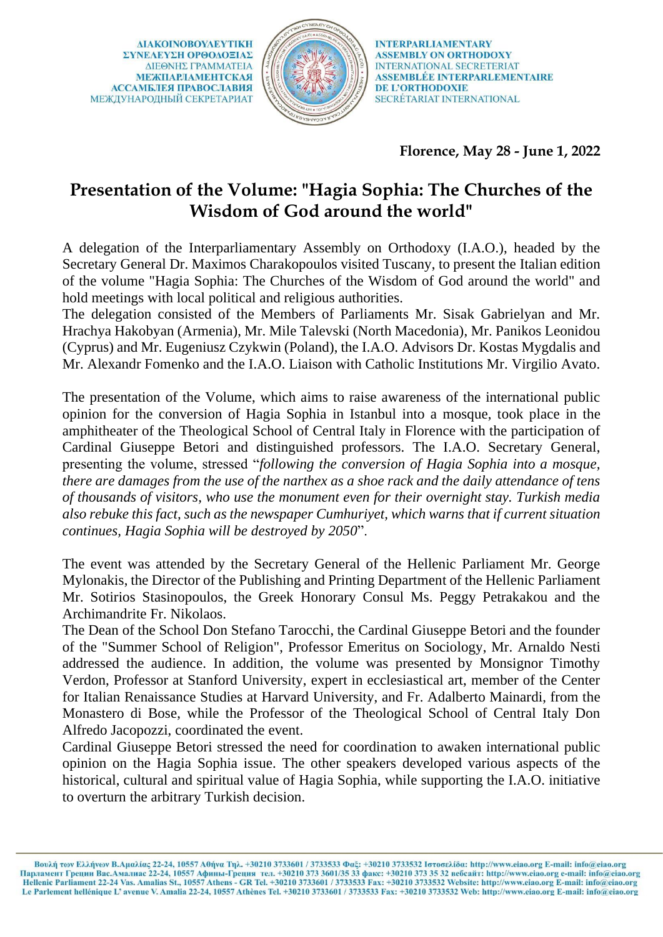**AIAKOINOBOYAEYTIKH** ΣΥΝΕΛΕΥΣΗ ΟΡΘΟΛΟΞΙΑΣ ΔΙΕΘΝΗΣ ΓΡΑΜΜΑΤΕΙΑ **МЕЖПАРЛАМЕНТСКАЯ АССАМБЛЕЯ ПРАВОСЛАВИЯ** МЕЖДУНАРОДНЫЙ СЕКРЕТАРИАТ



**INTERPARLIAMENTARY ASSEMBLY ON ORTHODOXY INTERNATIONAL SECRETERIAT ASSEMBLÉE INTERPARLEMENTAIRE** DE L'ORTHODOXIE SECRÉTARIAT INTERNATIONAL

**Florence, May 28 - June 1, 2022**

## **Presentation of the Volume: "Hagia Sophia: The Churches of the Wisdom of God around the world"**

A delegation of the Interparliamentary Assembly on Orthodoxy (I.A.O.), headed by the Secretary General Dr. Maximos Charakopoulos visited Tuscany, to present the Italian edition of the volume "Hagia Sophia: The Churches of the Wisdom of God around the world" and hold meetings with local political and religious authorities.

The delegation consisted of the Members of Parliaments Mr. Sisak Gabrielyan and Mr. Hrachya Hakobyan (Armenia), Mr. Mile Talevski (North Macedonia), Mr. Panikos Leonidou (Cyprus) and Mr. Eugeniusz Czykwin (Poland), the I.A.O. Advisors Dr. Kostas Mygdalis and Mr. Alexandr Fomenko and the I.A.O. Liaison with Catholic Institutions Mr. Virgilio Avato.

The presentation of the Volume, which aims to raise awareness of the international public opinion for the conversion of Hagia Sophia in Istanbul into a mosque, took place in the amphitheater of the Theological School of Central Italy in Florence with the participation of Cardinal Giuseppe Betori and distinguished professors. The I.A.O. Secretary General, presenting the volume, stressed "*following the conversion of Hagia Sophia into a mosque, there are damages from the use of the narthex as a shoe rack and the daily attendance of tens of thousands of visitors, who use the monument even for their overnight stay. Turkish media also rebuke this fact, such as the newspaper Cumhuriyet, which warns that if current situation continues, Hagia Sophia will be destroyed by 2050*".

The event was attended by the Secretary General of the Hellenic Parliament Mr. George Mylonakis, the Director of the Publishing and Printing Department of the Hellenic Parliament Mr. Sotirios Stasinopoulos, the Greek Honorary Consul Ms. Peggy Petrakakou and the Archimandrite Fr. Nikolaos.

The Dean of the School Don Stefano Tarocchi, the Cardinal Giuseppe Betori and the founder of the "Summer School of Religion", Professor Emeritus on Sociology, Mr. Arnaldo Nesti addressed the audience. In addition, the volume was presented by Monsignor Timothy Verdon, Professor at Stanford University, expert in ecclesiastical art, member of the Center for Italian Renaissance Studies at Harvard University, and Fr. Adalberto Mainardi, from the Monastero di Bose, while the Professor of the Theological School of Central Italy Don Alfredo Jacopozzi, coordinated the event.

Cardinal Giuseppe Betori stressed the need for coordination to awaken international public opinion on the Hagia Sophia issue. The other speakers developed various aspects of the historical, cultural and spiritual value of Hagia Sophia, while supporting the I.A.O. initiative to overturn the arbitrary Turkish decision.

Βουλή των Ελλήνων Β.Αμαλίας 22-24, 10557 Αθήνα Τηλ. +30210 3733601 / 3733533 Φαξ: +30210 3733532 Ιστοσελίδα: http://www.eiao.org E-mail: info@eiao.org Парламент Греции Вас.Амалиас 22-24, 10557 Афины-Греция тел. +30210 373 3601/35 33 факс: +30210 373 35 32 вебсайт: http://www.eiao.org e-mail: info@eiao.org<br>Hellenic Parliament 22-24 Vas. Amalias St., 10557 Athens - GR Tel Le Parlement hellénique L'avenue V. Amalia 22-24, 10557 Athènes Tel. +30210 3733601 / 3733533 Fax: +30210 3733532 Web: http://www.eiao.org E-mail: info@eiao.org